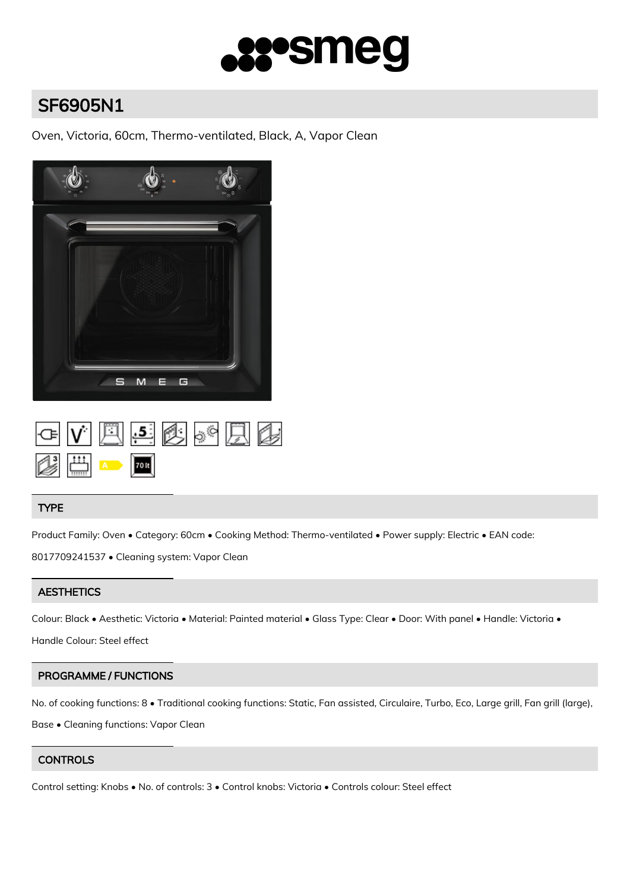

# SF6905N1

Oven, Victoria, 60cm, Thermo-ventilated, Black, A, Vapor Clean



|  |                                                                                     | GVAS6826 |  |
|--|-------------------------------------------------------------------------------------|----------|--|
|  | $\frac{1}{\sqrt{2}}$ $\frac{1}{\sqrt{2}}$ $\frac{1}{\sqrt{2}}$ $\frac{1}{\sqrt{2}}$ |          |  |

# TYPE

Product Family: Oven • Category: 60cm • Cooking Method: Thermo-ventilated • Power supply: Electric • EAN code: 8017709241537 • Cleaning system: Vapor Clean

# **AESTHETICS**

Colour: Black • Aesthetic: Victoria • Material: Painted material • Glass Type: Clear • Door: With panel • Handle: Victoria •

Handle Colour: Steel effect

# PROGRAMME / FUNCTIONS

No. of cooking functions: 8 • Traditional cooking functions: Static, Fan assisted, Circulaire, Turbo, Eco, Large grill, Fan grill (large), Base • Cleaning functions: Vapor Clean

# **CONTROLS**

Control setting: Knobs • No. of controls: 3 • Control knobs: Victoria • Controls colour: Steel effect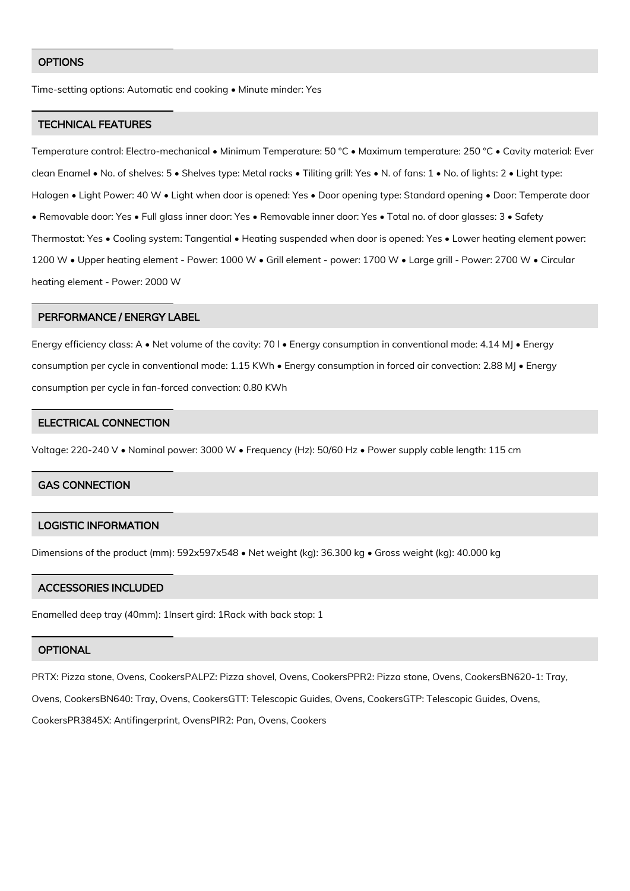#### **OPTIONS**

Time-setting options: Automatic end cooking • Minute minder: Yes

#### TECHNICAL FEATURES

Temperature control: Electro-mechanical • Minimum Temperature: 50 °C • Maximum temperature: 250 °C • Cavity material: Ever clean Enamel • No. of shelves: 5 • Shelves type: Metal racks • Tiliting grill: Yes • N. of fans: 1 • No. of lights: 2 • Light type: Halogen • Light Power: 40 W • Light when door is opened: Yes • Door opening type: Standard opening • Door: Temperate door • Removable door: Yes • Full glass inner door: Yes • Removable inner door: Yes • Total no. of door glasses: 3 • Safety Thermostat: Yes • Cooling system: Tangential • Heating suspended when door is opened: Yes • Lower heating element power: 1200 W • Upper heating element - Power: 1000 W • Grill element - power: 1700 W • Large grill - Power: 2700 W • Circular heating element - Power: 2000 W

#### PERFORMANCE / ENERGY LABEL

Energy efficiency class: A • Net volume of the cavity: 70 l • Energy consumption in conventional mode: 4.14 MJ • Energy consumption per cycle in conventional mode: 1.15 KWh • Energy consumption in forced air convection: 2.88 MJ • Energy consumption per cycle in fan-forced convection: 0.80 KWh

## ELECTRICAL CONNECTION

Voltage: 220-240 V • Nominal power: 3000 W • Frequency (Hz): 50/60 Hz • Power supply cable length: 115 cm

## GAS CONNECTION

### LOGISTIC INFORMATION

Dimensions of the product (mm): 592x597x548 • Net weight (kg): 36.300 kg • Gross weight (kg): 40.000 kg

### ACCESSORIES INCLUDED

Enamelled deep tray (40mm): 1Insert gird: 1Rack with back stop: 1

#### **OPTIONAL**

PRTX: Pizza stone, Ovens, CookersPALPZ: Pizza shovel, Ovens, CookersPPR2: Pizza stone, Ovens, CookersBN620-1: Tray, Ovens, CookersBN640: Tray, Ovens, CookersGTT: Telescopic Guides, Ovens, CookersGTP: Telescopic Guides, Ovens, CookersPR3845X: Antifingerprint, OvensPIR2: Pan, Ovens, Cookers